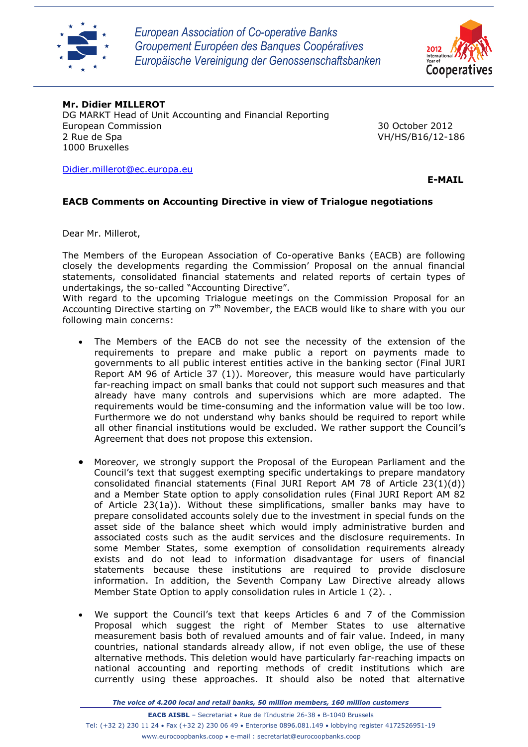

*European Association of Co-operative Banks Groupement Européen des Banques Coopératives Europäische Vereinigung der Genossenschaftsbanken*



## **Mr. Didier MILLEROT**

DG MARKT Head of Unit Accounting and Financial Reporting European Commission 30 October 2012 2 Rue de Spa VH/HS/B16/12-186 1000 Bruxelles

[Didier.millerot@ec.europa.eu](mailto:Didier.millerot@ec.europa.eu)

 **E-MAIL**

## **EACB Comments on Accounting Directive in view of Trialogue negotiations**

Dear Mr. Millerot,

The Members of the European Association of Co-operative Banks (EACB) are following closely the developments regarding the Commission' Proposal on the annual financial statements, consolidated financial statements and related reports of certain types of undertakings, the so-called "Accounting Directive".

With regard to the upcoming Trialogue meetings on the Commission Proposal for an Accounting Directive starting on  $7<sup>th</sup>$  November, the EACB would like to share with you our following main concerns:

- The Members of the EACB do not see the necessity of the extension of the requirements to prepare and make public a report on payments made to governments to all public interest entities active in the banking sector (Final JURI Report AM 96 of Article 37 (1)). Moreover, this measure would have particularly far-reaching impact on small banks that could not support such measures and that already have many controls and supervisions which are more adapted. The requirements would be time-consuming and the information value will be too low. Furthermore we do not understand why banks should be required to report while all other financial institutions would be excluded. We rather support the Council's Agreement that does not propose this extension.
- Moreover, we strongly support the Proposal of the European Parliament and the Council's text that suggest exempting specific undertakings to prepare mandatory consolidated financial statements (Final JURI Report AM 78 of Article 23(1)(d)) and a Member State option to apply consolidation rules (Final JURI Report AM 82 of Article 23(1a)). Without these simplifications, smaller banks may have to prepare consolidated accounts solely due to the investment in special funds on the asset side of the balance sheet which would imply administrative burden and associated costs such as the audit services and the disclosure requirements. In some Member States, some exemption of consolidation requirements already exists and do not lead to information disadvantage for users of financial statements because these institutions are required to provide disclosure information. In addition, the Seventh Company Law Directive already allows Member State Option to apply consolidation rules in Article 1 (2)..
- We support the Council's text that keeps Articles 6 and 7 of the Commission Proposal which suggest the right of Member States to use alternative measurement basis both of revalued amounts and of fair value. Indeed, in many countries, national standards already allow, if not even oblige, the use of these alternative methods. This deletion would have particularly far-reaching impacts on national accounting and reporting methods of credit institutions which are currently using these approaches. It should also be noted that alternative